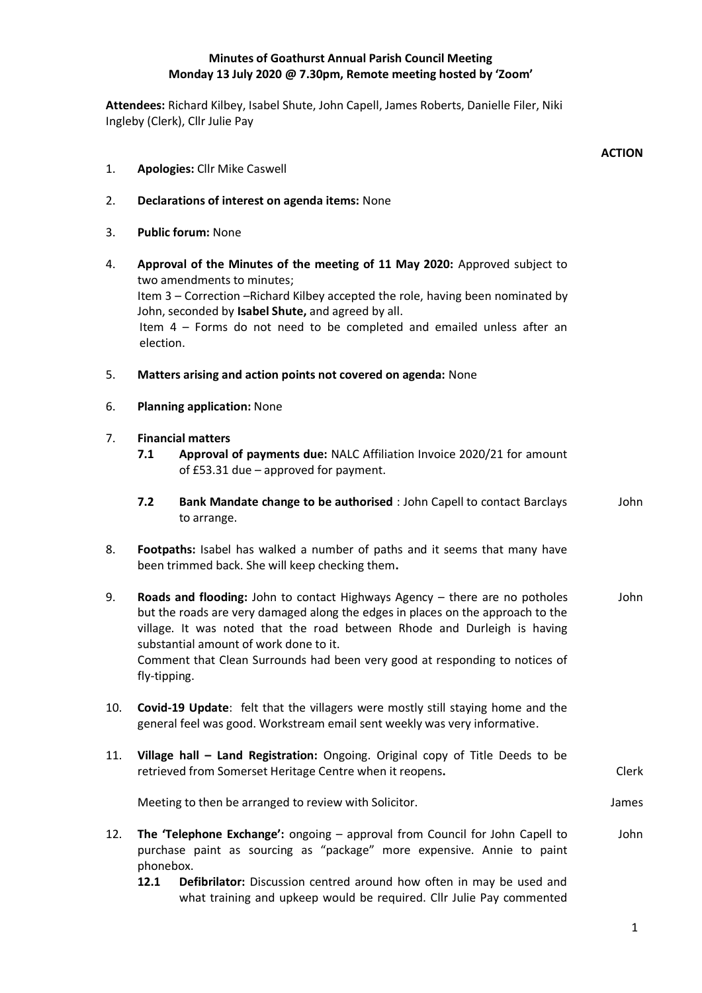## **Minutes of Goathurst Annual Parish Council Meeting Monday 13 July 2020 @ 7.30pm, Remote meeting hosted by 'Zoom'**

**Attendees:** Richard Kilbey, Isabel Shute, John Capell, James Roberts, Danielle Filer, Niki Ingleby (Clerk), Cllr Julie Pay

|     |                                                                                                                                                                                                                                                                                                                                                                                     | <b>ACTION</b> |
|-----|-------------------------------------------------------------------------------------------------------------------------------------------------------------------------------------------------------------------------------------------------------------------------------------------------------------------------------------------------------------------------------------|---------------|
| 1.  | <b>Apologies: Cllr Mike Caswell</b>                                                                                                                                                                                                                                                                                                                                                 |               |
| 2.  | Declarations of interest on agenda items: None                                                                                                                                                                                                                                                                                                                                      |               |
| 3.  | <b>Public forum: None</b>                                                                                                                                                                                                                                                                                                                                                           |               |
| 4.  | Approval of the Minutes of the meeting of 11 May 2020: Approved subject to<br>two amendments to minutes;<br>Item 3 - Correction - Richard Kilbey accepted the role, having been nominated by<br>John, seconded by Isabel Shute, and agreed by all.<br>Item 4 - Forms do not need to be completed and emailed unless after an<br>election.                                           |               |
| 5.  | Matters arising and action points not covered on agenda: None                                                                                                                                                                                                                                                                                                                       |               |
| 6.  | <b>Planning application: None</b>                                                                                                                                                                                                                                                                                                                                                   |               |
| 7.  | <b>Financial matters</b><br>Approval of payments due: NALC Affiliation Invoice 2020/21 for amount<br>7.1<br>of £53.31 due - approved for payment.                                                                                                                                                                                                                                   |               |
|     | 7.2<br>Bank Mandate change to be authorised : John Capell to contact Barclays<br>to arrange.                                                                                                                                                                                                                                                                                        | John          |
| 8.  | Footpaths: Isabel has walked a number of paths and it seems that many have<br>been trimmed back. She will keep checking them.                                                                                                                                                                                                                                                       |               |
| 9.  | Roads and flooding: John to contact Highways Agency - there are no potholes<br>but the roads are very damaged along the edges in places on the approach to the<br>village. It was noted that the road between Rhode and Durleigh is having<br>substantial amount of work done to it.<br>Comment that Clean Surrounds had been very good at responding to notices of<br>fly-tipping. | John          |
| 10. | Covid-19 Update: felt that the villagers were mostly still staying home and the<br>general feel was good. Workstream email sent weekly was very informative.                                                                                                                                                                                                                        |               |
| 11. | Village hall - Land Registration: Ongoing. Original copy of Title Deeds to be<br>retrieved from Somerset Heritage Centre when it reopens.                                                                                                                                                                                                                                           | Clerk         |
|     | Meeting to then be arranged to review with Solicitor.                                                                                                                                                                                                                                                                                                                               | James         |
| 12. | The 'Telephone Exchange': ongoing - approval from Council for John Capell to<br>purchase paint as sourcing as "package" more expensive. Annie to paint<br>phonebox.<br>12.1<br>Defibrilator: Discussion centred around how often in may be used and<br>what training and upkeep would be required. Cllr Julie Pay commented                                                         | John          |